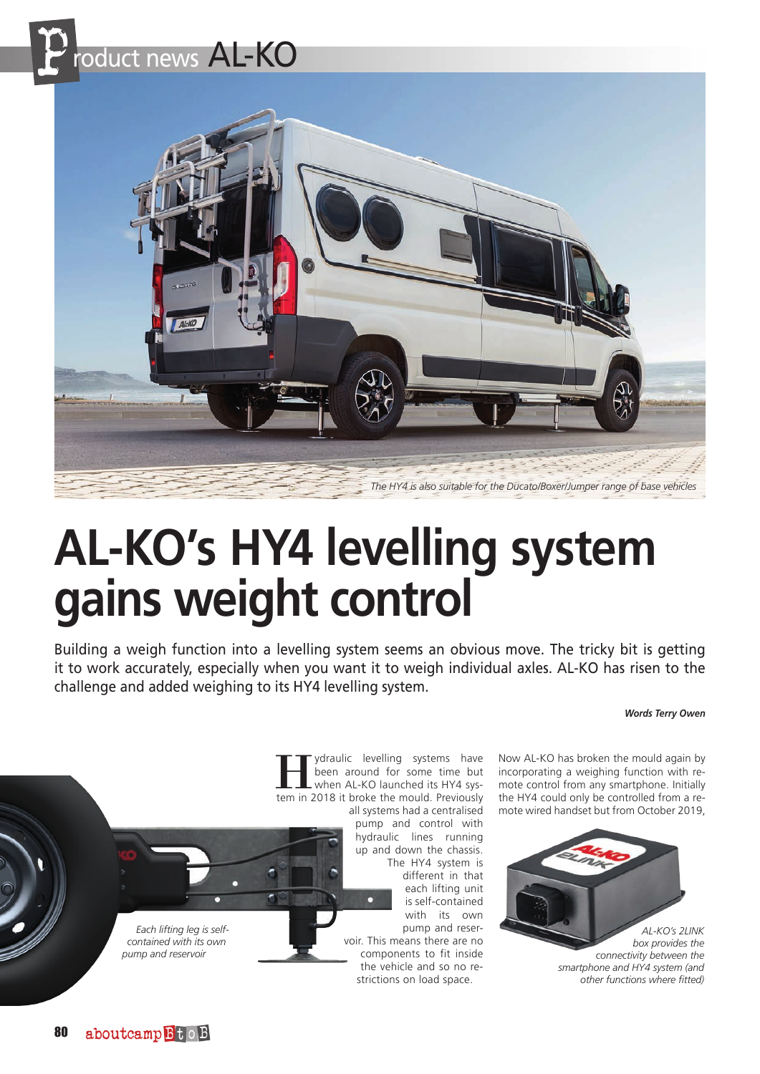



# **AL-KO's HY4 levelling system gains weight control**

Building a weigh function into a levelling system seems an obvious move. The tricky bit is getting it to work accurately, especially when you want it to weigh individual axles. AL-KO has risen to the challenge and added weighing to its HY4 levelling system.

### *Words Terry Owen*



ydraulic levelling systems have been around for some time but when AL-KO launched its HY4 system in 2018 it broke the mould. Previously

all systems had a centralised pump and control with hydraulic lines running up and down the chassis. The HY4 system is different in that

each lifting unit is self-contained with its own pump and reservoir. This means there are no components to fit inside

the vehicle and so no restrictions on load space.

Now AL-KO has broken the mould again by incorporating a weighing function with remote control from any smartphone. Initially the HY4 could only be controlled from a remote wired handset but from October 2019,



80 aboutcamp BtoB